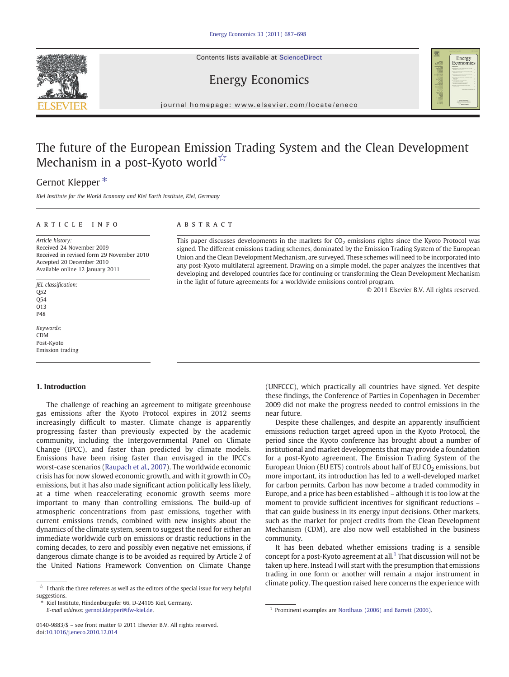Contents lists available at ScienceDirect





Energy Economics

journal homepage: www.elsevier.com/locate/eneco

## The future of the European Emission Trading System and the Clean Development Mechanism in a post-Kyoto world☆

## Gernot Klepper<sup>\*</sup>

Kiel Institute for the World Economy and Kiel Earth Institute, Kiel, Germany

### article info abstract

Article history: Received 24 November 2009 Received in revised form 29 November 2010 Accepted 20 December 2010 Available online 12 January 2011

JEL classification: O52 Q54 O13 P48

Keywords: CDM Post-Kyoto Emission trading

### 1. Introduction

The challenge of reaching an agreement to mitigate greenhouse gas emissions after the Kyoto Protocol expires in 2012 seems increasingly difficult to master. Climate change is apparently progressing faster than previously expected by the academic community, including the Intergovernmental Panel on Climate Change (IPCC), and faster than predicted by climate models. Emissions have been rising faster than envisaged in the IPCC's worst-case scenarios [\(Raupach et al., 2007\)](#page--1-0). The worldwide economic crisis has for now slowed economic growth, and with it growth in  $CO<sub>2</sub>$ emissions, but it has also made significant action politically less likely, at a time when reaccelerating economic growth seems more important to many than controlling emissions. The build-up of atmospheric concentrations from past emissions, together with current emissions trends, combined with new insights about the dynamics of the climate system, seem to suggest the need for either an immediate worldwide curb on emissions or drastic reductions in the coming decades, to zero and possibly even negative net emissions, if dangerous climate change is to be avoided as required by Article 2 of the United Nations Framework Convention on Climate Change

This paper discusses developments in the markets for  $CO<sub>2</sub>$  emissions rights since the Kyoto Protocol was signed. The different emissions trading schemes, dominated by the Emission Trading System of the European Union and the Clean Development Mechanism, are surveyed. These schemes will need to be incorporated into any post-Kyoto multilateral agreement. Drawing on a simple model, the paper analyzes the incentives that developing and developed countries face for continuing or transforming the Clean Development Mechanism in the light of future agreements for a worldwide emissions control program.

© 2011 Elsevier B.V. All rights reserved.

(UNFCCC), which practically all countries have signed. Yet despite these findings, the Conference of Parties in Copenhagen in December 2009 did not make the progress needed to control emissions in the near future.

Despite these challenges, and despite an apparently insufficient emissions reduction target agreed upon in the Kyoto Protocol, the period since the Kyoto conference has brought about a number of institutional and market developments that may provide a foundation for a post-Kyoto agreement. The Emission Trading System of the European Union (EU ETS) controls about half of EU  $CO<sub>2</sub>$  emissions, but more important, its introduction has led to a well-developed market for carbon permits. Carbon has now become a traded commodity in Europe, and a price has been established – although it is too low at the moment to provide sufficient incentives for significant reductions – that can guide business in its energy input decisions. Other markets, such as the market for project credits from the Clean Development Mechanism (CDM), are also now well established in the business community.

It has been debated whether emissions trading is a sensible concept for a post-Kyoto agreement at all. $<sup>1</sup>$  That discussion will not be</sup> taken up here. Instead I will start with the presumption that emissions trading in one form or another will remain a major instrument in climate policy. The question raised here concerns the experience with

 $\overleftrightarrow{\mathbf{r}}$  I thank the three referees as well as the editors of the special issue for very helpful suggestions.

<sup>⁎</sup> Kiel Institute, Hindenburgufer 66, D-24105 Kiel, Germany. E-mail address: [gernot.klepper@ifw-kiel.de.](mailto:gernot.klepper@ifw-kiel.de) <sup>1</sup> Prominent examples are [Nordhaus \(2006\) and Barrett \(2006\).](#page--1-0)

<sup>0140-9883/\$</sup> – see front matter © 2011 Elsevier B.V. All rights reserved. doi:[10.1016/j.eneco.2010.12.014](http://dx.doi.org/10.1016/j.eneco.2010.12.014)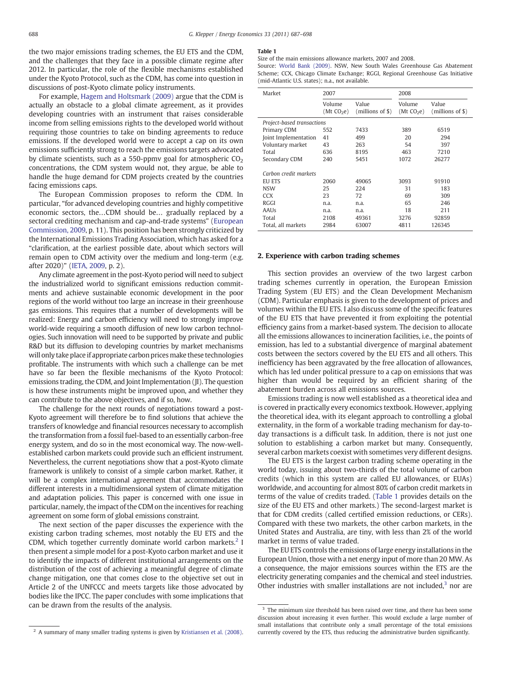the two major emissions trading schemes, the EU ETS and the CDM, and the challenges that they face in a possible climate regime after 2012. In particular, the role of the flexible mechanisms established under the Kyoto Protocol, such as the CDM, has come into question in discussions of post-Kyoto climate policy instruments.

For example, [Hagem and Holtsmark \(2009\)](#page--1-0) argue that the CDM is actually an obstacle to a global climate agreement, as it provides developing countries with an instrument that raises considerable income from selling emissions rights to the developed world without requiring those countries to take on binding agreements to reduce emissions. If the developed world were to accept a cap on its own emissions sufficiently strong to reach the emissions targets advocated by climate scientists, such as a 550-ppmv goal for atmospheric  $CO<sub>2</sub>$ concentrations, the CDM system would not, they argue, be able to handle the huge demand for CDM projects created by the countries facing emissions caps.

The European Commission proposes to reform the CDM. In particular, "for advanced developing countries and highly competitive economic sectors, the…CDM should be… gradually replaced by a sectoral crediting mechanism and cap-and-trade systems" [\(European](#page--1-0) [Commission, 2009](#page--1-0), p. 11). This position has been strongly criticized by the International Emissions Trading Association, which has asked for a "clarification, at the earliest possible date, about which sectors will remain open to CDM activity over the medium and long-term (e.g. after 2020)" [\(IETA, 2009,](#page--1-0) p. 2).

Any climate agreement in the post-Kyoto period will need to subject the industrialized world to significant emissions reduction commitments and achieve sustainable economic development in the poor regions of the world without too large an increase in their greenhouse gas emissions. This requires that a number of developments will be realized: Energy and carbon efficiency will need to strongly improve world-wide requiring a smooth diffusion of new low carbon technologies. Such innovation will need to be supported by private and public R&D but its diffusion to developing countries by market mechanisms will only take place if appropriate carbon prices make these technologies profitable. The instruments with which such a challenge can be met have so far been the flexible mechanisms of the Kyoto Protocol: emissions trading, the CDM, and Joint Implementation (JI). The question is how these instruments might be improved upon, and whether they can contribute to the above objectives, and if so, how.

The challenge for the next rounds of negotiations toward a post-Kyoto agreement will therefore be to find solutions that achieve the transfers of knowledge and financial resources necessary to accomplish the transformation from a fossil fuel-based to an essentially carbon-free energy system, and do so in the most economical way. The now-wellestablished carbon markets could provide such an efficient instrument. Nevertheless, the current negotiations show that a post-Kyoto climate framework is unlikely to consist of a simple carbon market. Rather, it will be a complex international agreement that accommodates the different interests in a multidimensional system of climate mitigation and adaptation policies. This paper is concerned with one issue in particular, namely, the impact of the CDM on the incentives for reaching agreement on some form of global emissions constraint.

The next section of the paper discusses the experience with the existing carbon trading schemes, most notably the EU ETS and the CDM, which together currently dominate world carbon markets. $2$  I then present a simple model for a post-Kyoto carbon market and use it to identify the impacts of different institutional arrangements on the distribution of the cost of achieving a meaningful degree of climate change mitigation, one that comes close to the objective set out in Article 2 of the UNFCCC and meets targets like those advocated by bodies like the IPCC. The paper concludes with some implications that can be drawn from the results of the analysis.

### Table 1

Size of the main emissions allowance markets, 2007 and 2008.

Source: [World Bank \(2009\).](#page--1-0) NSW, New South Wales Greenhouse Gas Abatement Scheme; CCX, Chicago Climate Exchange; RGGI, Regional Greenhouse Gas Initiative (mid-Atlantic U.S. states); n.a., not available.

| Market                     | 2007                             |                               | 2008                             |                           |
|----------------------------|----------------------------------|-------------------------------|----------------------------------|---------------------------|
|                            | Volume<br>(Mt CO <sub>2</sub> e) | Value<br>(millions of $\$\$ ) | Volume<br>(Mt CO <sub>2</sub> e) | Value<br>$(millions of \$ |
| Project-based transactions |                                  |                               |                                  |                           |
| Primary CDM                | 552                              | 7433                          | 389                              | 6519                      |
| Joint Implementation       | 41                               | 499                           | 20                               | 294                       |
| Voluntary market           | 43                               | 263                           | 54                               | 397                       |
| Total                      | 636                              | 8195                          | 463                              | 7210                      |
| Secondary CDM              | 240                              | 5451                          | 1072                             | 26277                     |
| Carbon credit markets      |                                  |                               |                                  |                           |
| <b>EU ETS</b>              | 2060                             | 49065                         | 3093                             | 91910                     |
| <b>NSW</b>                 | 25                               | 224                           | 31                               | 183                       |
| <b>CCX</b>                 | 23                               | 72                            | 69                               | 309                       |
| RGG                        | n.a.                             | n.a.                          | 65                               | 246                       |
| AAUs                       | n.a.                             | n.a.                          | 18                               | 211                       |
| Total                      | 2108                             | 49361                         | 3276                             | 92859                     |
| Total, all markets         | 2984                             | 63007                         | 4811                             | 126345                    |

### 2. Experience with carbon trading schemes

This section provides an overview of the two largest carbon trading schemes currently in operation, the European Emission Trading System (EU ETS) and the Clean Development Mechanism (CDM). Particular emphasis is given to the development of prices and volumes within the EU ETS. I also discuss some of the specific features of the EU ETS that have prevented it from exploiting the potential efficiency gains from a market-based system. The decision to allocate all the emissions allowances to incineration facilities, i.e., the points of emission, has led to a substantial divergence of marginal abatement costs between the sectors covered by the EU ETS and all others. This inefficiency has been aggravated by the free allocation of allowances, which has led under political pressure to a cap on emissions that was higher than would be required by an efficient sharing of the abatement burden across all emissions sources.

Emissions trading is now well established as a theoretical idea and is covered in practically every economics textbook. However, applying the theoretical idea, with its elegant approach to controlling a global externality, in the form of a workable trading mechanism for day-today transactions is a difficult task. In addition, there is not just one solution to establishing a carbon market but many. Consequently, several carbon markets coexist with sometimes very different designs.

The EU ETS is the largest carbon trading scheme operating in the world today, issuing about two-thirds of the total volume of carbon credits (which in this system are called EU allowances, or EUAs) worldwide, and accounting for almost 80% of carbon credit markets in terms of the value of credits traded. (Table 1 provides details on the size of the EU ETS and other markets.) The second-largest market is that for CDM credits (called certified emission reductions, or CERs). Compared with these two markets, the other carbon markets, in the United States and Australia, are tiny, with less than 2% of the world market in terms of value traded.

The EU ETS controls the emissions of large energy installations in the European Union, those with a net energy input of more than 20 MW. As a consequence, the major emissions sources within the ETS are the electricity generating companies and the chemical and steel industries. Other industries with smaller installations are not included, $3$  nor are

<sup>&</sup>lt;sup>3</sup> The minimum size threshold has been raised over time, and there has been some discussion about increasing it even further. This would exclude a large number of small installations that contribute only a small percentage of the total emissions currently covered by the ETS, thus reducing the administrative burden significantly.

<sup>&</sup>lt;sup>2</sup> A summary of many smaller trading systems is given by [Kristiansen et al. \(2008\)](#page--1-0).